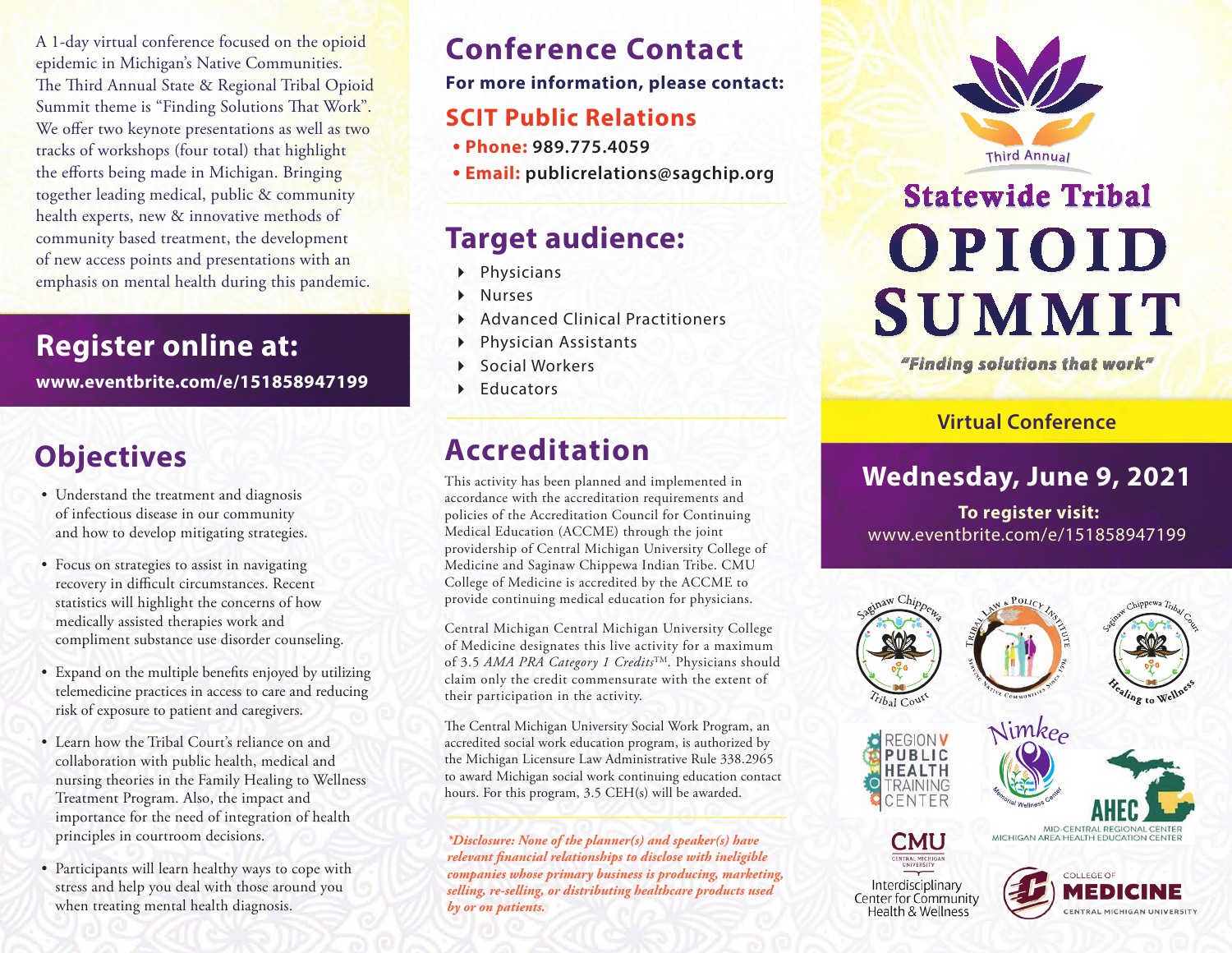A 1-day virtual conference focused on the opioid epidemic in Michigan's Native Communities. The Third Annual State & Regional Tribal Opioid Summit theme is "Finding Solutions That Work". We offer two keynote presentations as well as two tracks of workshops (four total) that highlight the efforts being made in Michigan. Bringing together leading medical, public & community health experts, new & innovative methods of community based treatment, the development of new access points and presentations with an emphasis on mental health during this pandemic.

# **Register online at:**

**www.eventbrite.com/e/151858947199**

# **Objectives**

- Understand the treatment and diagnosis of infectious disease in our community and how to develop mitigating strategies.
- Focus on strategies to assist in navigating recovery in difficult circumstances. Recent statistics will highlight the concerns of how medically assisted therapies work and compliment substance use disorder counseling.
- Expand on the multiple benefits enjoyed by utilizing telemedicine practices in access to care and reducing risk of exposure to patient and caregivers.
- Learn how the Tribal Court's reliance on and collaboration with public health, medical and nursing theories in the Family Healing to Wellness Treatment Program. Also, the impact and importance for the need of integration of health principles in courtroom decisions.
- • Participants will learn healthy ways to cope with stress and help you deal with those around you when treating mental health diagnosis.

# **Conference Contact**

#### **For more information, please contact:**

# **SCIT Public Relations**

- **• Phone: 989.775.4059**
- **• Email: publicrelations@sagchip.org**

# **Target audience:**

- Physicians
- Nurses
- Advanced Clinical Practitioners
- Physician Assistants
- Social Workers
- Educators

# **Accreditation**

This activity has been planned and implemented in accordance with the accreditation requirements and policies of the Accreditation Council for Continuing Medical Education (ACCME) through the joint providership of Central Michigan University College of Medicine and Saginaw Chippewa Indian Tribe. CMU College of Medicine is accredited by the ACCME to provide continuing medical education for physicians.

Central Michigan Central Michigan University College of Medicine designates this live activity for a maximum of 3.5 *AMA PRA Category 1 Credits*TM. Physicians should claim only the credit commensurate with the extent of their participation in the activity.

The Central Michigan University Social Work Program, an accredited social work education program, is authorized by the Michigan Licensure Law Administrative Rule 338.2965 to award Michigan social work continuing education contact hours. For this program, 3.5 CEH(s) will be awarded.

*\*Disclosure: None of the planner(s) and speaker(s) have relevant financial relationships to disclose with ineligible companies whose primary business is producing, marketing, selling, re-selling, or distributing healthcare products used by or on patients.*



# **Statewide Tribal** OPIOID **SUMMIT**

"Finding solutions that work"

#### **Virtual Conference**

# **Wednesday, June 9, 2021**

 **To register visit:** www.eventbrite.com/e/151858947199